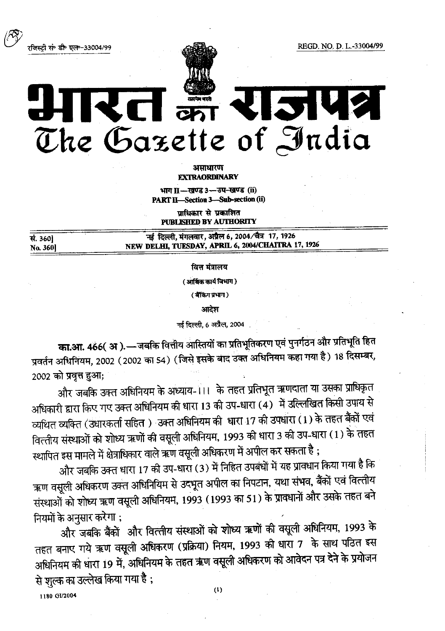REGD. NO. D. L.-33004/99

रजिस्ट्री सं॰ डी॰ एल॰-33004/99



## KCI on **TIMELY** The Gazette of India

असाधारण **EXTRAORDINARY** 

भाग II-खण्ड 3-उप-खण्ड (ii) PART II-Section 3-Sub-section (ii)

प्राधिकार से प्रकाशित PUBLISHED BY AUTHORITY

| सं. 360]       | नई दिल्ली, मंगलवार, अप्रैल 6, 2004/चैत्र 17, 1926  |
|----------------|----------------------------------------------------|
| <b>No. 360</b> | NEW DELHI, TUESDAY, APRIL 6, 2004/CHAITRA 17, 1926 |
|                |                                                    |

वित्त मंत्रालय

(आर्थिक कार्य विभाग)

(बैंकिंग प्रभाग)

आदेश

नई दिल्ली, 6 अप्रैल, 2004

का.आ. 466( अ).—जबकि वित्तीय आस्तियों का प्रतिभूतिकरण एवं पुनर्गठन और प्रतिभूति हित प्रवर्तन अधिनियम, 2002 (2002 का 54) (जिसे इसके बाद उक्त अधिनियम कहा गया है) 18 दिसम्बर, 2002 को प्रवृत्त हुआ;

और जबकि उक्त अधिनियम के अध्याय-111 के तहत प्रतिभूत ऋणदाता या उसका प्राधिकृत अधिकारी द्वारा किए गए उक्त अधिनियम की धारा 13 की उप-धारा (4) में उल्लिखित किसी उपाय से व्यथित व्यक्ति (उधारकर्ता सहित) उक्त अधिनियम की धारा 17 की उपधारा (1) के तहत बैंकों एवं वित्तीय संस्थाओं को शोध्य ऋणों की वसूली अधिनियम, 1993 की धारा 3 की उप-धारा (1) के तहत स्थापित इस मामले में क्षेत्राधिकार वाले ऋण वसूली अधिकरण में अपील कर सकता है ;

और जबकि उक्त धारा 17 की उप-धारा (3) में निहित उपबंधों में यह प्रावधान किया गया है कि ऋण वसूली अधिकरण उक्त अधिनियिम से उदभूत अपील का निपटान, यथा संभव, बैंकों एवं वित्तीय संस्थाओं को शोध्य ऋण वसूली अधिनियम, 1993 (1993 का 51) के प्रावधानों और उसके तहत बने नियमों के अनुसार करेगा ;

और जबकि बैंकों और वित्तीय संस्थाओं को शोध्य ऋणों की वसूली अधिनियम, 1993 के तहत बनाए गये ऋण वसूली अधिकरण (प्रक्रिया) नियम, 1993 की धारा 7 के साथ पठित इस अधिनियम की धारा 19 में, अधिनियम के तहत ऋण वसूली अधिकरण को आवेदन पत्र देने के प्रयोजन से शुल्क का उल्लेख किया गया है ;

1180 GI/2004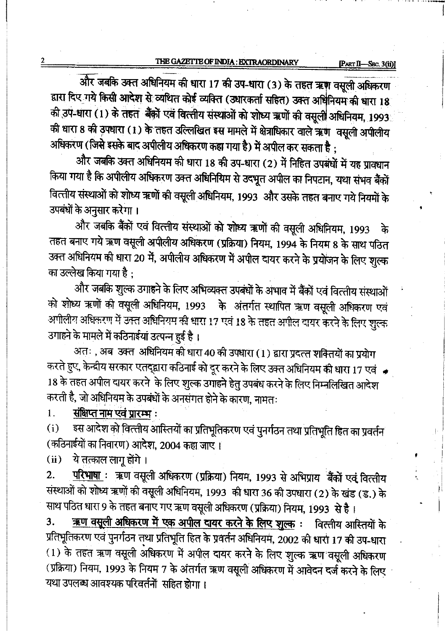'fimmafifimfifi um <sup>17</sup> flaw-arm (3) mmmafifalfilmw ... द्वारा दिए गये किसी आदेश से व्यथित कोई व्यक्ति (उधारकर्ता सहित) उक्त अधिनियम की धारा 18<br>की उप-धारा (1) के तहत बैंक़ों एवं वित्तीय संस्थाओं को शोध्य ऋणों की वसुली अधिनियम, 1993 की धारा 8 की उपधारा (1) के तहत उल्लिखित इस मामले में क्षेत्राधिकार वाले ऋण वसूली अपीलीय अधिकरण (जिसे इसके बाद अपीलीय अधिकरण कहा गया है) में अपील कर सकता है:

और जबकि उक्त अधिनियम की धारा 18 की उप-धारा (2) में निहित उपबंधों में यह प्रावधान किया गया है कि अपीलीय अधिकरण उक्त अधिनियिम से उदभूत अपील का निपटान, यथा संभव बैंकों वित्तीय संस्थाओं को शोध्य ऋणों की वसूली अधिनियम, 1993 और उसके तहत बनाए गये नियमों के mmwml . उपबंधों के अनुसार करेगा।<br>और जबकि बैंकों एवं वित्तीय संस्थाओं को शोध्य ऋणों की वसूली अधिनियम, 1993 के

तहत बनाए गये ऋण वसूली अपीलीय अधिकरण (प्रक्रिया) नियम, 1994 के नियम 8 के साथ पठित उक्त अधिनियम की धारा 20 में, अपीलीय अधिकरण में अपील दायर करने के प्रयोजन के लिए शुल्क का उल्लेख किया गया है :

त्य निर्मालना है ,<br>और जबकि शुल्क उगाहने के लिए अभिव्यक्त उपबंधों के अभाव में बैंकों एवं वित्तीय संस्थाओं<br>सु उनके पी उनकी अधिविकाय कर पाने हैं। को शोध्य ऋणों की वसूली अधिनियम, 1993 के अंतर्गत स्थापित ऋण वसूली अधिकरण एवं आगीलीय अधिकरण में उक्त अधिनियम की धारा 17 एवं 18 के तहत अपील दायर करने के लिए शुल्क उगाहने के मामले में कठिनाईयां उत्पन्न हुई है।

अतः, अब उक्त अधिनियम की धारा 40 की उपधारा (1) द्वारा प्रदत्त शक्तियों का प्रयोग करते हुए, केन्द्रीय सरकार एतद्द्वारा कठिनाई को दूर करने के लिए उक्त अधिनियम की धारा 17 एवं  $\;$ 18 के तहत अपील दायर करने के लिए शुल्क उगाहने हेतु उपबंध करने के लिए निम्नलिखित आदेश करती है, जो अधिनियम के उपबंधों के अनसंगत होने के कारण, नामतः<br>1. संक्षिप्त नाम एवं प्रारम्भ :

1. <mark>संक्षिप्त नाम एवं प्रारम्भ</mark> :<br>(i) इस आदेश को वित्त्तीय अ

इस आदेश को वित्त्तीय आस्तियों का प्रतिभूतिकरण एवं पुनर्गठन तथा प्रतिभूति हित का प्रवर्तन (कठिनाईयों का निवारण) आदेश, 2004 कहा जाए।<br>(ii) ये तत्काल लाग होंगे।

 $(i)$  वे तत्काल लागू होंगे।<br>2. परिभाषा : ऋण वस

'

परिभाषा : ऋण वसूली अधिकरण (प्रक्रिया) नियम, 1993 से अभिप्राय बैंकों एवं वित्तीय 2. <u>- मरगाना</u> स्थित अधिकारण (ब्राह्मण) नियम, 1993 से आमप्राय "बेका एव वित्ताय<br>संस्थाओं को शोध्य ऋणों की वसूली अधिनियम, 1993 की धारा 36 की उपधारा (2) के खंड (ड.) के<br>Till परिवर भाग २ के साल साल का प्रकार पर परिवर्तन के लिए साथ पठित धारा 9 के तहत बनाए गए ऋण वसूली अधिकरण (प्रक्रिया) नियम, 1993 से है ।<br>3. <u>ऋण वसूली अधिकरण में एक अपील दायर करने के लिए शुल्क</u> : विस्तीय आस्तियों के

<u>ऋण वसूली अधिकरण में एक अपील दायर करने के लिए शुल्क</u>: प्रतिभूतिकरण एवं पुनर्गठन तथा प्रतिभूति हित के प्रवर्तन अधिनियम, 2002 की धारा 17 की उप-धारा (1) के तहत ऋण वसूली अधिकरण में अपील दायर करने के लिए शुल्क ऋण वसूली अधिकरण (प्रक्रिया) नियम, 1993 के नियम 7 के अंतर्गत ऋण वसूली अधिकरण में आवेदन दर्ज करने के लिए यथा उपलब्ध आवश्यक परिवर्तनों सहित होगा।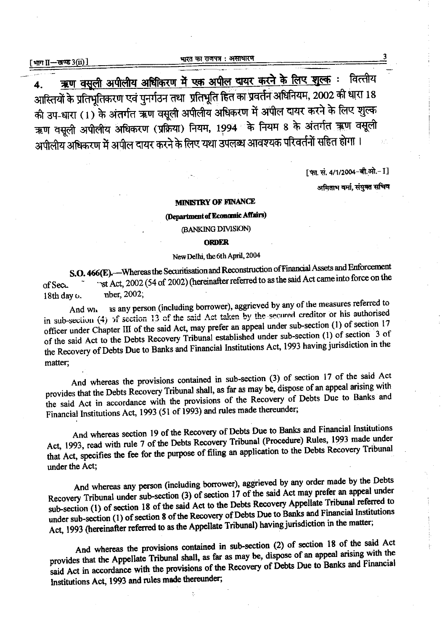<u>ऋण वसूली अपीलीय अधिकिरण में एक अपील दायर करने के लिए शूल्क :</u> वित्तीय  $\blacktriangle$ आस्तियों के प्रतिभूतिकरण एवं पुनर्गठन तथा प्रतिभूति हित का प्रवर्तन अधिनियम, 2002 की धारा 18 की उप-धारा (1) के अंतर्गत ऋण वसूली अपीलीय अधिकरण में अपील दायर करने के लिए शुल्क ऋण वसूली अपीलीय अधिकरण (प्रक्रिया) नियम, 1994 के नियम 8 के अंतर्गत ऋण वसूली अपीलीय अधिकरण में अपील दायर करने के लिए यथा उपलब्ध आवश्यक परिवर्तनों सहित होगा।

[फा. सं. 4/1/2004-बी.ओ.-1]

अमिताभ वर्मा, संयुक्त सचिव

## **MINISTRY OF FINANCE**

(Department of Economic Affairs)

(BANKING DIVISION)

## **ORDER**

## New Delhi, the 6th April, 2004

S.O. 466(E). - Whereas the Securitisation and Reconstruction of Financial Assets and Enforcement "st Act, 2002 (54 of 2002) (hereinafter referred to as the said Act came into force on the of Sec. nber, 2002; 18th day o.

as any person (including borrower), aggrieved by any of the measures referred to And wh in sub-section (4) of section 13 of the said Act taken by the secured creditor or his authorised officer under Chapter III of the said Act, may prefer an appeal under sub-section (1) of section 17 of the said Act to the Debts Recovery Tribunal established under sub-section (1) of section 3 of the Recovery of Debts Due to Banks and Financial Institutions Act, 1993 having jurisdiction in the matter:

And whereas the provisions contained in sub-section (3) of section 17 of the said Act provides that the Debts Recovery Tribunal shall, as far as may be, dispose of an appeal arising with the said Act in accordance with the provisions of the Recovery of Debts Due to Banks and Financial Institutions Act, 1993 (51 of 1993) and rules made thereunder;

And whereas section 19 of the Recovery of Debts Due to Banks and Financial Institutions Act, 1993, read with rule 7 of the Debts Recovery Tribunal (Procedure) Rules, 1993 made under that Act, specifies the fee for the purpose of filing an application to the Debts Recovery Tribunal under the Act;

And whereas any person (including borrower), aggrieved by any order made by the Debts Recovery Tribunal under sub-section (3) of section 17 of the said Act may prefer an appeal under sub-section (1) of section 18 of the said Act to the Debts Recovery Appellate Tribunal referred to under sub-section (1) of section 8 of the Recovery of Debts Due to Banks and Financial Institutions Act, 1993 (hereinafter referred to as the Appellate Tribunal) having jurisdiction in the matter;

And whereas the provisions contained in sub-section (2) of section 18 of the said Act provides that the Appellate Tribunal shall, as far as may be, dispose of an appeal arising with the said Act in accordance with the provisions of the Recovery of Debts Due to Banks and Financial Institutions Act, 1993 and rules made thereunder;